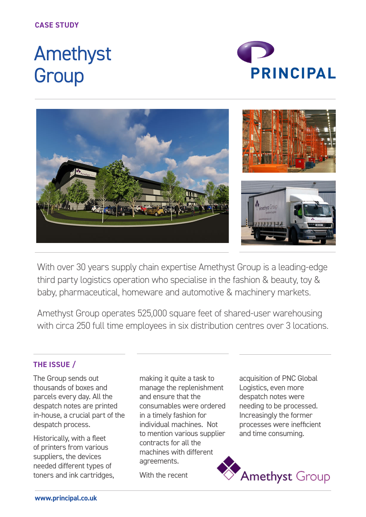# Amethyst **Group**





With over 30 years supply chain expertise Amethyst Group is a leading-edge third party logistics operation who specialise in the fashion & beauty, toy & baby, pharmaceutical, homeware and automotive & machinery markets.

Amethyst Group operates 525,000 square feet of shared-user warehousing with circa 250 full time employees in six distribution centres over 3 locations.

## **THE ISSUE /**

The Group sends out thousands of boxes and parcels every day. All the despatch notes are printed in-house, a crucial part of the despatch process.

Historically, with a fleet of printers from various suppliers, the devices needed different types of toners and ink cartridges, making it quite a task to manage the replenishment and ensure that the consumables were ordered in a timely fashion for individual machines. Not to mention various supplier contracts for all the machines with different agreements.

With the recent

acquisition of PNC Global Logistics, even more despatch notes were needing to be processed. Increasingly the former processes were inefficient and time consuming.